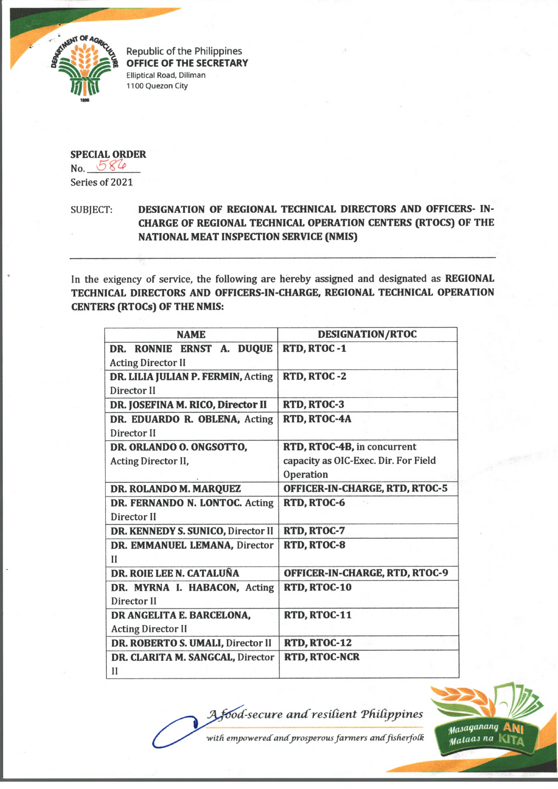

Republic of the Philippines **OFFICE OF THE SECRETARY Elliptical Road, Diliman 1100 Quezon City**

## **SPECIAL ORDER**

No. *- 5 ^ ^* Series of 2021

## SUBJECT: **DESIGNATION OF REGIONAL TECHNICAL DIRECTORS AND OFFICERS- IN-CHARGE OF REGIONAL TECHNICAL OPERATION CENTERS (RTOCS) OF THE NATIONAL MEAT INSPECTION SERVICE (NMIS)**

In the exigency of service, the following are hereby assigned and designated as **REGIONAL TECHNICAL DIRECTORS AND OFFICERS-IN-CHARGE, REGIONAL TECHNICAL OPERATION CENTERS (RTOCs) OF THE NMIS:**

| <b>NAME</b>                        | <b>DESIGNATION/RTOC</b>              |  |  |
|------------------------------------|--------------------------------------|--|--|
| DR. RONNIE ERNST A. DUQUE          | RTD, RTOC -1                         |  |  |
| <b>Acting Director II</b>          |                                      |  |  |
| DR. LILIA JULIAN P. FERMIN, Acting | RTD, RTOC -2                         |  |  |
| Director II                        |                                      |  |  |
| DR. JOSEFINA M. RICO, Director II  | RTD, RTOC-3                          |  |  |
| DR. EDUARDO R. OBLENA, Acting      | RTD, RTOC-4A                         |  |  |
| Director II                        |                                      |  |  |
| DR. ORLANDO O. ONGSOTTO,           | RTD, RTOC-4B, in concurrent          |  |  |
| Acting Director II,                | capacity as OIC-Exec. Dir. For Field |  |  |
|                                    | Operation                            |  |  |
| DR. ROLANDO M. MARQUEZ             | OFFICER-IN-CHARGE, RTD, RTOC-5       |  |  |
| DR. FERNANDO N. LONTOC. Acting     | RTD, RTOC-6                          |  |  |
| Director II                        |                                      |  |  |
| DR. KENNEDY S. SUNICO, Director II | RTD, RTOC-7                          |  |  |
| DR. EMMANUEL LEMANA, Director      | RTD, RTOC-8                          |  |  |
| Н                                  |                                      |  |  |
| DR. ROIE LEE N. CATALUÑA           | OFFICER-IN-CHARGE, RTD, RTOC-9       |  |  |
| DR. MYRNA I. HABACON, Acting       | RTD, RTOC-10                         |  |  |
| Director II                        |                                      |  |  |
| DR ANGELITA E. BARCELONA,          | RTD, RTOC-11                         |  |  |
| <b>Acting Director II</b>          |                                      |  |  |
| DR. ROBERTO S. UMALI, Director II  | RTD, RTOC-12                         |  |  |
| DR. CLARITA M. SANGCAL, Director   | <b>RTD, RTOC-NCR</b>                 |  |  |
| $_{II}$                            |                                      |  |  |

*od-secure a n d resident Tfidijrpines*



with empowered and prosperous farmers and fisherfolk